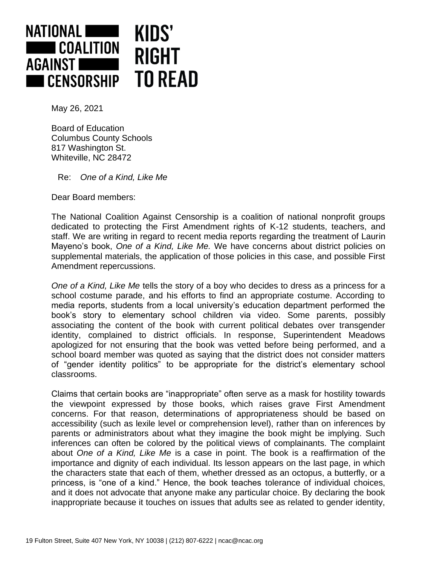

May 26, 2021

Board of Education Columbus County Schools 817 Washington St. Whiteville, NC 28472

Re: *One of a Kind, Like Me*

Dear Board members:

The National Coalition Against Censorship is a coalition of national nonprofit groups dedicated to protecting the First Amendment rights of K-12 students, teachers, and staff. We are writing in regard to recent media reports regarding the treatment of Laurin Mayeno's book, *One of a Kind, Like Me.* We have concerns about district policies on supplemental materials, the application of those policies in this case, and possible First Amendment repercussions.

*One of a Kind, Like Me* tells the story of a boy who decides to dress as a princess for a school costume parade, and his efforts to find an appropriate costume. According to media reports, students from a local university's education department performed the book's story to elementary school children via video. Some parents, possibly associating the content of the book with current political debates over transgender identity, complained to district officials. In response, Superintendent Meadows apologized for not ensuring that the book was vetted before being performed, and a school board member was quoted as saying that the district does not consider matters of "gender identity politics" to be appropriate for the district's elementary school classrooms.

Claims that certain books are "inappropriate" often serve as a mask for hostility towards the viewpoint expressed by those books, which raises grave First Amendment concerns. For that reason, determinations of appropriateness should be based on accessibility (such as lexile level or comprehension level), rather than on inferences by parents or administrators about what they imagine the book might be implying. Such inferences can often be colored by the political views of complainants. The complaint about *One of a Kind, Like Me* is a case in point. The book is a reaffirmation of the importance and dignity of each individual. Its lesson appears on the last page, in which the characters state that each of them, whether dressed as an octopus, a butterfly, or a princess, is "one of a kind." Hence, the book teaches tolerance of individual choices, and it does not advocate that anyone make any particular choice. By declaring the book inappropriate because it touches on issues that adults see as related to gender identity,